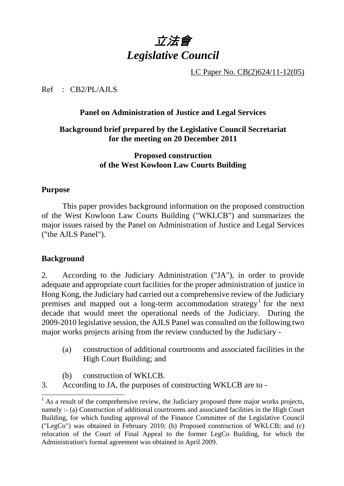# 立法會 *Legislative Council*

LC Paper No. CB(2)624/11-12(05)

Ref : CB2/PL/AJLS

# **Panel on Administration of Justice and Legal Services**

# **Background brief prepared by the Legislative Council Secretariat for the meeting on 20 December 2011**

# **Proposed construction of the West Kowloon Law Courts Building**

## **Purpose**

1. This paper provides background information on the proposed construction of the West Kowloon Law Courts Building ("WKLCB") and summarizes the major issues raised by the Panel on Administration of Justice and Legal Services ("the AJLS Panel").

## **Background**

-

2. According to the Judiciary Administration ("JA"), in order to provide adequate and appropriate court facilities for the proper administration of justice in Hong Kong, the Judiciary had carried out a comprehensive review of the Judiciary premises and mapped out a long-term accommodation strategy<sup>1</sup> for the next decade that would meet the operational needs of the Judiciary. During the 2009-2010 legislative session, the AJLS Panel was consulted on the following two major works projects arising from the review conducted by the Judiciary -

- (a) construction of additional courtrooms and associated facilities in the High Court Building; and
- (b) construction of WKLCB.
- 3. According to JA, the purposes of constructing WKLCB are to -

 $<sup>1</sup>$  As a result of the comprehensive review, the Judiciary proposed three major works projects,</sup> namely :- (a) Construction of additional courtrooms and associated facilities in the High Court Building, for which funding approval of the Finance Committee of the Legislative Council ("LegCo") was obtained in February 2010; (b) Proposed construction of WKLCB; and (c) relocation of the Court of Final Appeal to the former LegCo Building, for which the Administration's formal agreement was obtained in April 2009.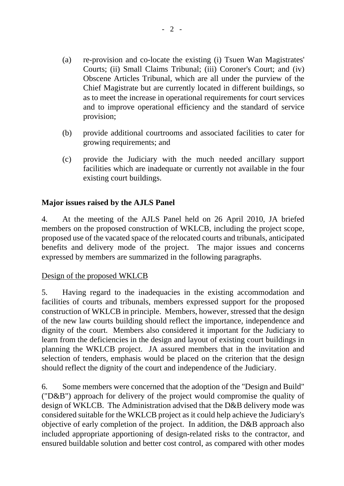- (a) re-provision and co-locate the existing (i) Tsuen Wan Magistrates' Courts; (ii) Small Claims Tribunal; (iii) Coroner's Court; and (iv) Obscene Articles Tribunal, which are all under the purview of the Chief Magistrate but are currently located in different buildings, so as to meet the increase in operational requirements for court services and to improve operational efficiency and the standard of service provision;
- (b) provide additional courtrooms and associated facilities to cater for growing requirements; and
- (c) provide the Judiciary with the much needed ancillary support facilities which are inadequate or currently not available in the four existing court buildings.

# **Major issues raised by the AJLS Panel**

4. At the meeting of the AJLS Panel held on 26 April 2010, JA briefed members on the proposed construction of WKLCB, including the project scope, proposed use of the vacated space of the relocated courts and tribunals, anticipated benefits and delivery mode of the project. The major issues and concerns expressed by members are summarized in the following paragraphs.

## Design of the proposed WKLCB

5. Having regard to the inadequacies in the existing accommodation and facilities of courts and tribunals, members expressed support for the proposed construction of WKLCB in principle. Members, however, stressed that the design of the new law courts building should reflect the importance, independence and dignity of the court. Members also considered it important for the Judiciary to learn from the deficiencies in the design and layout of existing court buildings in planning the WKLCB project. JA assured members that in the invitation and selection of tenders, emphasis would be placed on the criterion that the design should reflect the dignity of the court and independence of the Judiciary.

6. Some members were concerned that the adoption of the "Design and Build" ("D&B") approach for delivery of the project would compromise the quality of design of WKLCB. The Administration advised that the D&B delivery mode was considered suitable for the WKLCB project as it could help achieve the Judiciary's objective of early completion of the project. In addition, the D&B approach also included appropriate apportioning of design-related risks to the contractor, and ensured buildable solution and better cost control, as compared with other modes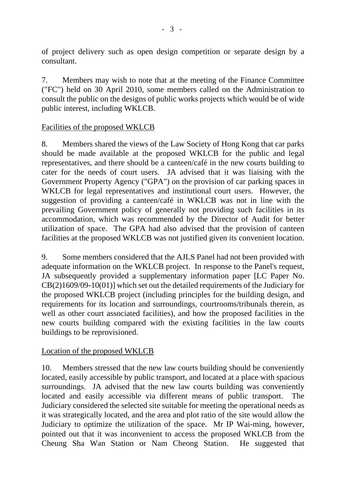of project delivery such as open design competition or separate design by a consultant.

7. Members may wish to note that at the meeting of the Finance Committee ("FC") held on 30 April 2010, some members called on the Administration to consult the public on the designs of public works projects which would be of wide public interest, including WKLCB.

# Facilities of the proposed WKLCB

8. Members shared the views of the Law Society of Hong Kong that car parks should be made available at the proposed WKLCB for the public and legal representatives, and there should be a canteen/café in the new courts building to cater for the needs of court users. JA advised that it was liaising with the Government Property Agency ("GPA") on the provision of car parking spaces in WKLCB for legal representatives and institutional court users. However, the suggestion of providing a canteen/café in WKLCB was not in line with the prevailing Government policy of generally not providing such facilities in its accommodation, which was recommended by the Director of Audit for better utilization of space. The GPA had also advised that the provision of canteen facilities at the proposed WKLCB was not justified given its convenient location.

9. Some members considered that the AJLS Panel had not been provided with adequate information on the WKLCB project. In response to the Panel's request, JA subsequently provided a supplementary information paper [LC Paper No. CB(2)1609/09-10(01)] which set out the detailed requirements of the Judiciary for the proposed WKLCB project (including principles for the building design, and requirements for its location and surroundings, courtrooms/tribunals therein, as well as other court associated facilities), and how the proposed facilities in the new courts building compared with the existing facilities in the law courts buildings to be reprovisioned.

## Location of the proposed WKLCB

10. Members stressed that the new law courts building should be conveniently located, easily accessible by public transport, and located at a place with spacious surroundings. JA advised that the new law courts building was conveniently located and easily accessible via different means of public transport. The Judiciary considered the selected site suitable for meeting the operational needs as it was strategically located, and the area and plot ratio of the site would allow the Judiciary to optimize the utilization of the space. Mr IP Wai-ming, however, pointed out that it was inconvenient to access the proposed WKLCB from the Cheung Sha Wan Station or Nam Cheong Station. He suggested that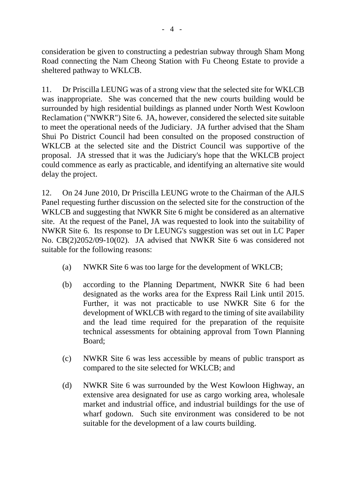consideration be given to constructing a pedestrian subway through Sham Mong Road connecting the Nam Cheong Station with Fu Cheong Estate to provide a sheltered pathway to WKLCB.

11. Dr Priscilla LEUNG was of a strong view that the selected site for WKLCB was inappropriate. She was concerned that the new courts building would be surrounded by high residential buildings as planned under North West Kowloon Reclamation ("NWKR") Site 6. JA, however, considered the selected site suitable to meet the operational needs of the Judiciary. JA further advised that the Sham Shui Po District Council had been consulted on the proposed construction of WKLCB at the selected site and the District Council was supportive of the proposal. JA stressed that it was the Judiciary's hope that the WKLCB project could commence as early as practicable, and identifying an alternative site would delay the project.

12. On 24 June 2010, Dr Priscilla LEUNG wrote to the Chairman of the AJLS Panel requesting further discussion on the selected site for the construction of the WKLCB and suggesting that NWKR Site 6 might be considered as an alternative site. At the request of the Panel, JA was requested to look into the suitability of NWKR Site 6. Its response to Dr LEUNG's suggestion was set out in LC Paper No. CB(2)2052/09-10(02). JA advised that NWKR Site 6 was considered not suitable for the following reasons:

- (a) NWKR Site 6 was too large for the development of WKLCB;
- (b) according to the Planning Department, NWKR Site 6 had been designated as the works area for the Express Rail Link until 2015. Further, it was not practicable to use NWKR Site 6 for the development of WKLCB with regard to the timing of site availability and the lead time required for the preparation of the requisite technical assessments for obtaining approval from Town Planning Board;
- (c) NWKR Site 6 was less accessible by means of public transport as compared to the site selected for WKLCB; and
- (d) NWKR Site 6 was surrounded by the West Kowloon Highway, an extensive area designated for use as cargo working area, wholesale market and industrial office, and industrial buildings for the use of wharf godown. Such site environment was considered to be not suitable for the development of a law courts building.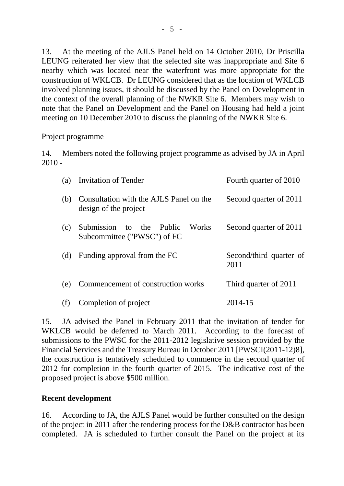13. At the meeting of the AJLS Panel held on 14 October 2010, Dr Priscilla LEUNG reiterated her view that the selected site was inappropriate and Site 6 nearby which was located near the waterfront was more appropriate for the construction of WKLCB. Dr LEUNG considered that as the location of WKLCB involved planning issues, it should be discussed by the Panel on Development in the context of the overall planning of the NWKR Site 6. Members may wish to note that the Panel on Development and the Panel on Housing had held a joint meeting on 10 December 2010 to discuss the planning of the NWKR Site 6.

#### Project programme

14. Members noted the following project programme as advised by JA in April  $2010 -$ 

| (a) | Invitation of Tender                                                    | Fourth quarter of 2010          |
|-----|-------------------------------------------------------------------------|---------------------------------|
| (b) | Consultation with the AJLS Panel on the<br>design of the project        | Second quarter of 2011          |
| (c) | Submission to the Public<br><b>Works</b><br>Subcommittee ("PWSC") of FC | Second quarter of 2011          |
| (d) | Funding approval from the FC                                            | Second/third quarter of<br>2011 |
| (e) | Commencement of construction works                                      | Third quarter of 2011           |
|     | Completion of project                                                   | 2014-15                         |

15. JA advised the Panel in February 2011 that the invitation of tender for WKLCB would be deferred to March 2011. According to the forecast of submissions to the PWSC for the 2011-2012 legislative session provided by the Financial Services and the Treasury Bureau in October 2011 [PWSCI(2011-12)8], the construction is tentatively scheduled to commence in the second quarter of 2012 for completion in the fourth quarter of 2015. The indicative cost of the proposed project is above \$500 million.

#### **Recent development**

16. According to JA, the AJLS Panel would be further consulted on the design of the project in 2011 after the tendering process for the D&B contractor has been completed. JA is scheduled to further consult the Panel on the project at its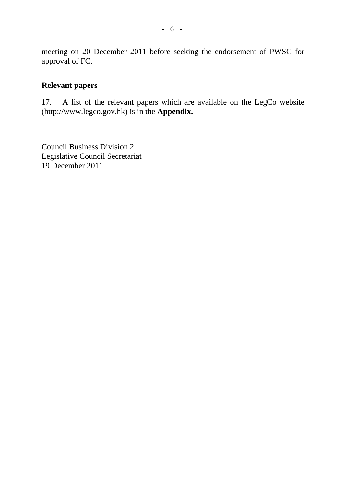meeting on 20 December 2011 before seeking the endorsement of PWSC for approval of FC.

#### **Relevant papers**

17. A list of the relevant papers which are available on the LegCo website (http://www.legco.gov.hk) is in the **Appendix.**

Council Business Division 2 Legislative Council Secretariat 19 December 2011